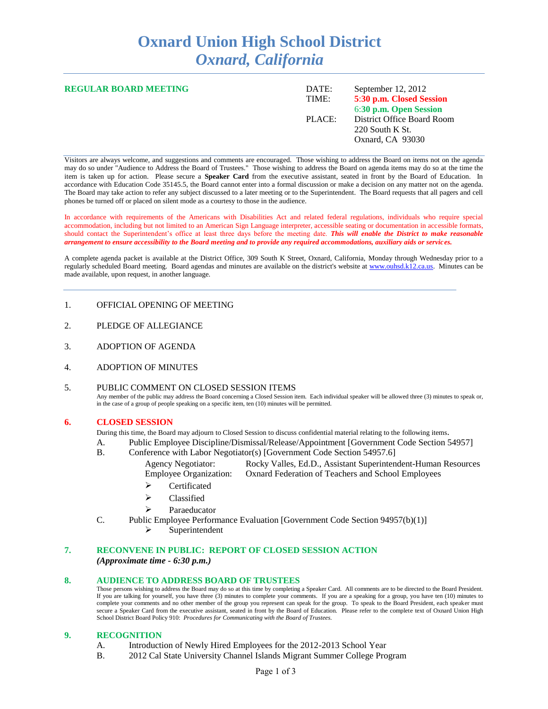# **Oxnard Union High School District** *Oxnard, California*

| <b>REGULAR BOARD MEETING</b> | DATE:<br>TIME: | September $12, 2012$<br>5:30 p.m. Closed Session<br>6:30 p.m. Open Session |
|------------------------------|----------------|----------------------------------------------------------------------------|
|                              | PLACE:         | District Office Board Room<br>220 South K St.<br>Oxnard, CA 93030          |

Visitors are always welcome, and suggestions and comments are encouraged. Those wishing to address the Board on items not on the agenda may do so under "Audience to Address the Board of Trustees." Those wishing to address the Board on agenda items may do so at the time the item is taken up for action. Please secure a **Speaker Card** from the executive assistant, seated in front by the Board of Education. In accordance with Education Code 35145.5, the Board cannot enter into a formal discussion or make a decision on any matter not on the agenda. The Board may take action to refer any subject discussed to a later meeting or to the Superintendent. The Board requests that all pagers and cell phones be turned off or placed on silent mode as a courtesy to those in the audience.

In accordance with requirements of the Americans with Disabilities Act and related federal regulations, individuals who require special accommodation, including but not limited to an American Sign Language interpreter, accessible seating or documentation in accessible formats, should contact the Superintendent's office at least three days before the meeting date. *This will enable the District to make reasonable arrangement to ensure accessibility to the Board meeting and to provide any required accommodations, auxiliary aids or services.* 

A complete agenda packet is available at the District Office, 309 South K Street, Oxnard, California, Monday through Wednesday prior to a regularly scheduled Board meeting. Board agendas and minutes are available on the district's website at [www.ouhsd.k12.ca.us.](http://www.ouhsd.k12.ca.us/)Minutes can be made available, upon request, in another language.

#### 1. OFFICIAL OPENING OF MEETING

- 2. PLEDGE OF ALLEGIANCE
- 3. ADOPTION OF AGENDA
- 4. ADOPTION OF MINUTES

#### 5. PUBLIC COMMENT ON CLOSED SESSION ITEMS Any member of the public may address the Board concerning a Closed Session item. Each individual speaker will be allowed three (3) minutes to speak or, in the case of a group of people speaking on a specific item, ten (10) minutes will be permitted.

#### **6. CLOSED SESSION**

During this time, the Board may adjourn to Closed Session to discuss confidential material relating to the following items.

- A. Public Employee Discipline/Dismissal/Release/Appointment [Government Code Section 54957]
- B. Conference with Labor Negotiator(s) [Government Code Section 54957.6]
	- Agency Negotiator: Rocky Valles, Ed.D., Assistant Superintendent-Human Resources Employee Organization: Oxnard Federation of Teachers and School Employees
		- $\triangleright$  Certificated
		- $\triangleright$  Classified
		- ightarrelation Paraeducator
- C. Public Employee Performance Evaluation [Government Code Section 94957(b)(1)]
	- $\triangleright$  Superintendent

## **7. RECONVENE IN PUBLIC: REPORT OF CLOSED SESSION ACTION**

*(Approximate time - 6:30 p.m.)*

#### **8. AUDIENCE TO ADDRESS BOARD OF TRUSTEES**

Those persons wishing to address the Board may do so at this time by completing a Speaker Card. All comments are to be directed to the Board President. If you are talking for yourself, you have three (3) minutes to complete your comments. If you are a speaking for a group, you have ten (10) minutes to complete your comments and no other member of the group you represent can speak for the group. To speak to the Board President, each speaker must secure a Speaker Card from the executive assistant, seated in front by the Board of Education. Please refer to the complete text of Oxnard Union High School District Board Policy 910: *Procedures for Communicating with the Board of Trustees.*

#### **9. RECOGNITION**

- A. Introduction of Newly Hired Employees for the 2012-2013 School Year
- B. 2012 Cal State University Channel Islands Migrant Summer College Program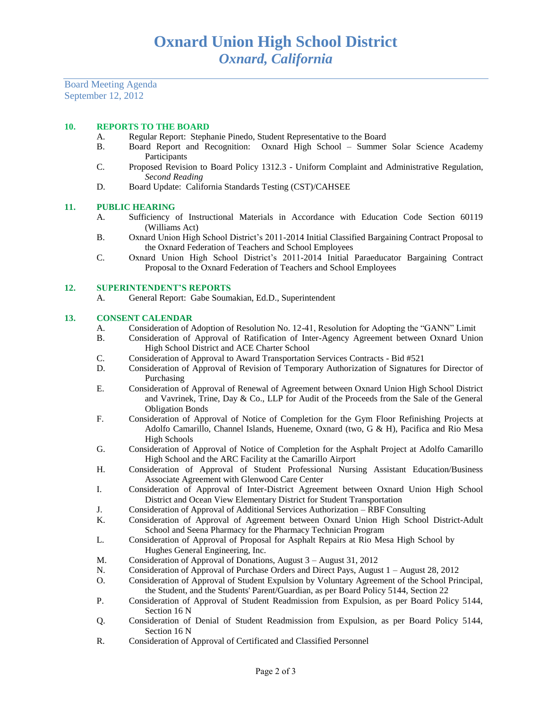Board Meeting Agenda September 12, 2012

#### **10. REPORTS TO THE BOARD**

- A. Regular Report: Stephanie Pinedo, Student Representative to the Board
- B. Board Report and Recognition: Oxnard High School Summer Solar Science Academy **Participants**
- C. Proposed Revision to Board Policy 1312.3 Uniform Complaint and Administrative Regulation, *Second Reading*
- D. Board Update: California Standards Testing (CST)/CAHSEE

#### **11. PUBLIC HEARING**

- A. Sufficiency of Instructional Materials in Accordance with Education Code Section 60119 (Williams Act)
- B. Oxnard Union High School District's 2011-2014 Initial Classified Bargaining Contract Proposal to the Oxnard Federation of Teachers and School Employees
- C. Oxnard Union High School District's 2011-2014 Initial Paraeducator Bargaining Contract Proposal to the Oxnard Federation of Teachers and School Employees

#### **12. SUPERINTENDENT'S REPORTS**

A. General Report: Gabe Soumakian, Ed.D., Superintendent

#### **13. CONSENT CALENDAR**

- A. Consideration of Adoption of Resolution No. 12-41, Resolution for Adopting the "GANN" Limit
- B. Consideration of Approval of Ratification of Inter-Agency Agreement between Oxnard Union High School District and ACE Charter School
- C. Consideration of Approval to Award Transportation Services Contracts Bid #521
- D. Consideration of Approval of Revision of Temporary Authorization of Signatures for Director of Purchasing
- E. Consideration of Approval of Renewal of Agreement between Oxnard Union High School District and Vavrinek, Trine, Day & Co., LLP for Audit of the Proceeds from the Sale of the General Obligation Bonds
- F. Consideration of Approval of Notice of Completion for the Gym Floor Refinishing Projects at Adolfo Camarillo, Channel Islands, Hueneme, Oxnard (two, G & H), Pacifica and Rio Mesa High Schools
- G. Consideration of Approval of Notice of Completion for the Asphalt Project at Adolfo Camarillo High School and the ARC Facility at the Camarillo Airport
- H. Consideration of Approval of Student Professional Nursing Assistant Education/Business Associate Agreement with Glenwood Care Center
- I. Consideration of Approval of Inter-District Agreement between Oxnard Union High School District and Ocean View Elementary District for Student Transportation
- J. Consideration of Approval of Additional Services Authorization RBF Consulting
- K. Consideration of Approval of Agreement between Oxnard Union High School District-Adult School and Seena Pharmacy for the Pharmacy Technician Program
- L. Consideration of Approval of Proposal for Asphalt Repairs at Rio Mesa High School by Hughes General Engineering, Inc.
- M. Consideration of Approval of Donations, August 3 August 31, 2012
- N. Consideration of Approval of Purchase Orders and Direct Pays, August 1 August 28, 2012
- O. Consideration of Approval of Student Expulsion by Voluntary Agreement of the School Principal, the Student, and the Students' Parent/Guardian, as per Board Policy 5144, Section 22
- P. Consideration of Approval of Student Readmission from Expulsion, as per Board Policy 5144, Section 16 N
- Q. Consideration of Denial of Student Readmission from Expulsion, as per Board Policy 5144, Section 16 N
- R. Consideration of Approval of Certificated and Classified Personnel